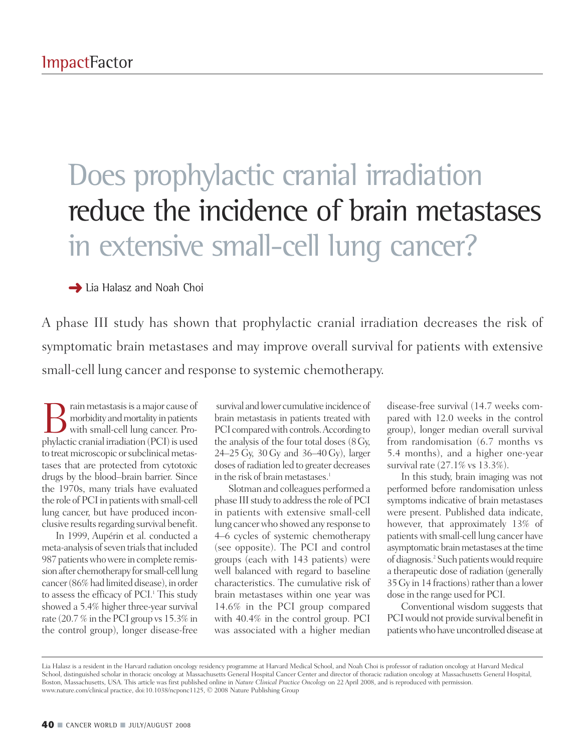## Does prophylactic cranial irradiation reduce the incidence of brain metastases in extensive small-cell lung cancer?

**→ Lia Halasz and Noah Choi** 

A phase III study has shown that prophylactic cranial irradiation decreases the risk of symptomatic brain metastases and may improve overall survival for patients with extensive small-cell lung cancer and response to systemic chemotherapy.

**B** rain metastasis is a major cause of<br>morbidity and mortality in patients<br>with small-cell lung cancer. Pro-<br>phylactic cranial irradiation (PCI) is used morbidity and mortality in patients with small-cell lung cancer. Prophylactic cranial irradiation (PCI) is used to treat microscopic or subclinical metastases that are protected from cytotoxic drugs by the blood–brain barrier. Since the 1970s, many trials have evaluated the role of PCI in patients with small-cell lung cancer, but have produced inconclusive results regarding survival benefit.

In 1999, Aupérin et al. conducted a meta-analysis of seven trials that included 987 patients who were in complete remission after chemotherapy for small-cell lung cancer(86%had limited disease), in order to assess the efficacy of PCI. <sup>1</sup> This study showed a 5.4% higher three-year survival rate (20.7 % in the PCI group vs 15.3% in the control group), longer disease-free

survival and lower cumulative incidence of brain metastasis in patients treated with PCI compared with controls. According to the analysis of the four total doses (8Gy, 24–25 Gy, 30 Gy and 36–40Gy), larger doses ofradiation led to greater decreases in the risk of brain metastases. 1

Slotman and colleagues performed a phase III study to address the role of PCI in patients with extensive small-cell lung cancerwho showed any response to 4–6 cycles of systemic chemotherapy (see opposite). The PCI and control groups (each with 143 patients) were well balanced with regard to baseline characteristics. The cumulative risk of brain metastases within one year was 14.6% in the PCI group compared with 40.4% in the control group. PCI was associated with a higher median

disease-free survival (14.7 weeks compared with 12.0 weeks in the control group), longer median overall survival from randomisation (6.7 months vs 5.4 months), and a higher one-year survival rate (27.1% vs 13.3%).

In this study, brain imaging was not performed before randomisation unless symptoms indicative of brain metastases were present. Published data indicate, however, that approximately 13% of patients with small-cell lung cancer have asymptomatic brain metastases at the time of diagnosis. <sup>2</sup> Such patientswould require a therapeutic dose of radiation (generally  $35\,\mathrm{Gy}$  in 14 fractions) rather than a lower dose in the range used for PCI.

Conventional wisdom suggests that PCI would not provide survival benefit in patients who have uncontrolled disease at

Lia Halasz is a resident in the Harvard radiation oncology residency programme at Harvard Medical School, and Noah Choi is professor of radiation oncology at Harvard Medical School, distinguished scholar in thoracic oncology at Massachusetts General Hospital Cancer Center and director of thoracic radiation oncology at Massachusetts General Hospital, Boston, Massachusetts, USA. This article was first published online in *Nature Clinical Practice Oncology* on 22 April 2008, and is reproduced with permission. www.nature.com/clinical practice, doi:10.1038/ncponc1125, © 2008 Nature Publishing Group